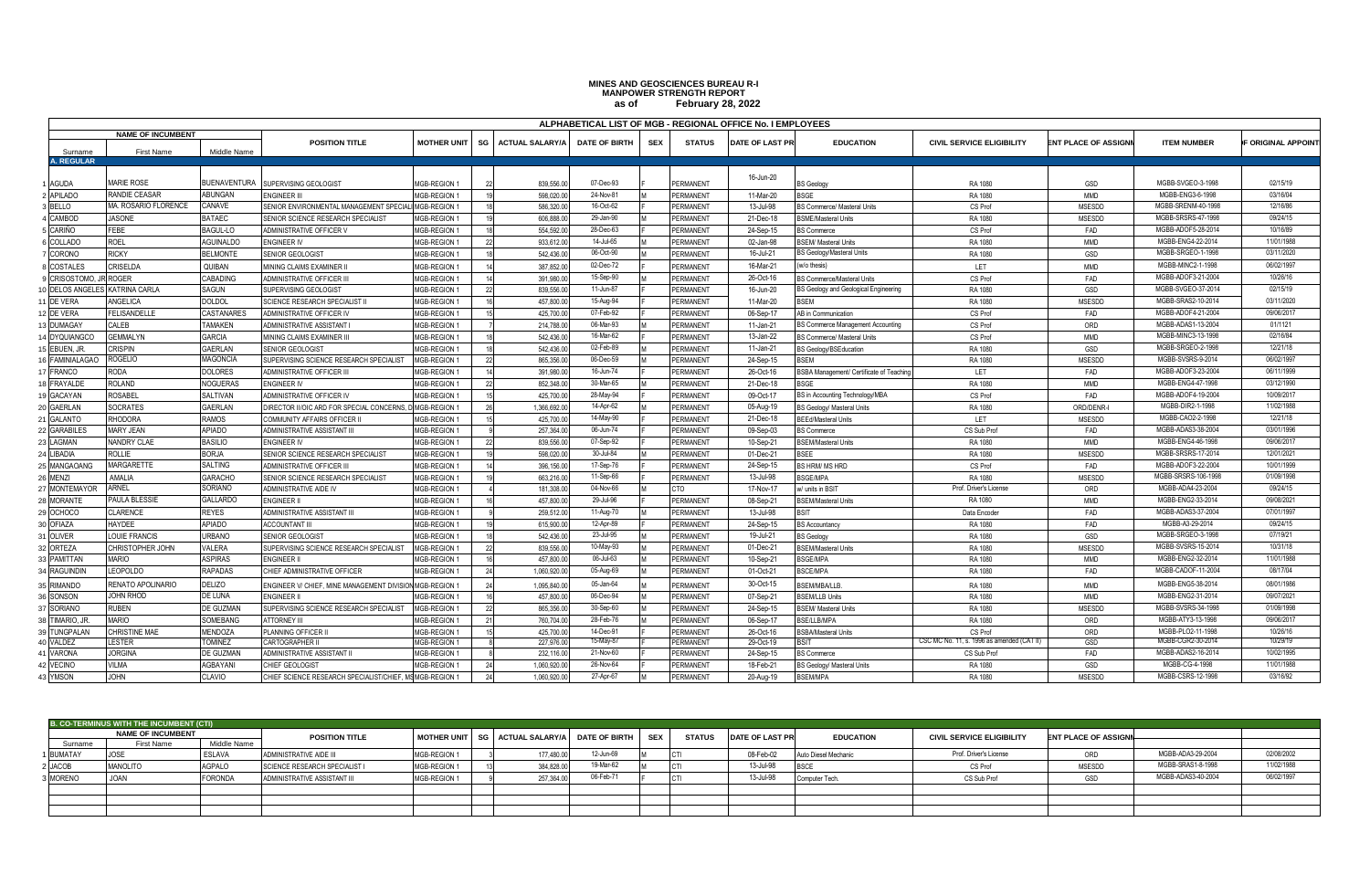## **as of MINES AND GEOSCIENCES BUREAU R-I MANPOWER STRENGTH REPORT February 28, 2022**

|                     | ALPHABETICAL LIST OF MGB - REGIONAL OFFICE No. I EMPLOYEES |                       |                                                         |                     |                |                        |                      |            |                       |                        |                                         |                                           |                             |                     |                   |
|---------------------|------------------------------------------------------------|-----------------------|---------------------------------------------------------|---------------------|----------------|------------------------|----------------------|------------|-----------------------|------------------------|-----------------------------------------|-------------------------------------------|-----------------------------|---------------------|-------------------|
|                     | <b>NAME OF INCUMBENT</b>                                   |                       |                                                         |                     |                |                        |                      |            |                       |                        |                                         |                                           |                             |                     |                   |
| Surname             | <b>First Name</b>                                          | Middle Name           | <b>POSITION TITLE</b>                                   | <b>MOTHER UNIT</b>  | SG             | <b>ACTUAL SALARY/A</b> | <b>DATE OF BIRTH</b> | <b>SEX</b> | <b>STATUS</b>         | <b>DATE OF LAST PR</b> | <b>EDUCATION</b>                        | <b>CIVIL SERVICE ELIGIBILITY</b>          | <b>ENT PLACE OF ASSIGNI</b> | <b>ITEM NUMBER</b>  | F ORIGINAL APPOIN |
| <b>A. REGULAR</b>   |                                                            |                       |                                                         |                     |                |                        |                      |            |                       |                        |                                         |                                           |                             |                     |                   |
|                     |                                                            |                       |                                                         |                     |                |                        |                      |            |                       | 16-Jun-20              |                                         |                                           |                             |                     |                   |
| <b>AGUDA</b>        | MARIE ROSE                                                 | BUENAVENTURA          | SUPERVISING GEOLOGIST                                   | <b>MGB-REGION</b>   |                | 839.556.0              | 07-Dec-93            |            | PERMANENT             |                        | <b>BS Geology</b>                       | RA 1080                                   | GSD                         | MGBB-SVGEO-3-1998   | 02/15/19          |
| <b>APILADO</b>      | <b>RANDIE CEASAR</b>                                       | ABUNGAN               | ENGINEER III                                            | MGB-REGION *        |                | 598.020.0              | 24-Nov-81            |            | PERMANENT             | 11-Mar-20              | <b>BSGE</b>                             | RA 1080                                   | <b>MMD</b>                  | MGBB-ENG3-6-1998    | 03/16/04          |
| BELLO               | MA. ROSARIO FLORENCE                                       | CANAVE                | SENIOR ENVIRONMENTAL MANAGEMENT SPECIALI MGB-REGION 1   |                     |                | 586,320.0              | 16-Oct-62            |            | <b>PERMANENT</b>      | 13-Jul-98              | BS Commerce/ Masteral Units             | CS Prof                                   | <b>MSESDD</b>               | MGBB-SRENM-40-1998  | 12/16/86          |
| CAMBOD              | <b>JASONE</b>                                              | <b>BATAEC</b>         | SENIOR SCIENCE RESEARCH SPECIALIST                      | MGB-REGION *        |                | 606,888.0              | 29-Jan-90            |            | PERMANENT             | 21-Dec-18              | <b>BSME/Masteral Units</b>              | RA 1080                                   | <b>MSESDD</b>               | MGBB-SRSRS-47-1998  | 09/24/15          |
| <b>CARIÑO</b>       | <b>FEBE</b>                                                | BAGUL-LO              | ADMINISTRATIVE OFFICER V                                | MGB-REGION *        |                | 554.592.0              | 28-Dec-63            |            | PERMANENT             | 24-Sep-15              | <b>BS Commerce</b>                      | CS Prof                                   | FAD                         | MGBB-ADOF5-28-2014  | 10/16/89          |
| COLLADO             | <b>ROEL</b>                                                | <b>AGUINALDO</b>      | <b>ENGINEER IV</b>                                      | MGB-REGION          |                | 933.612.0              | 14-Jul-65            |            | PERMANENT             | 02-Jan-98              | <b>BSEM/ Masteral Units</b>             | RA 1080                                   | <b>MMD</b>                  | MGBB-ENG4-22-2014   | 11/01/1988        |
| CORONO              | <b>RICKY</b>                                               | <b>BELMONTE</b>       | SENIOR GEOLOGIST                                        | MGB-REGION          |                | 542,436.0              | 06-Oct-90            |            | PERMANENT             | 16-Jul-21              | <b>BS Geology/Masteral Units</b>        | RA 1080                                   | GSD                         | MGBB-SRGEO-1-1998   | 03/11/2020        |
| COSTALES            | CRISELDA                                                   | QUIBAN                | MINING CLAIMS EXAMINER II                               | MGB-REGION *        |                | 387.852.0              | 02-Dec-72            |            | <b>PERMANENT</b>      | 16-Mar-21              | (w/o thesis)                            | LET                                       | <b>MMD</b>                  | MGBB-MINC2-1-1998   | 06/02/1997        |
| CRISOSTOMC          | <b>ROGER</b>                                               | CABADING              | ADMINISTRATIVE OFFICER III                              | MGB-REGION *        |                | 391,980.0              | 15-Sep-90            |            | <b>PERMANENT</b>      | 26-Oct-16              | <b>BS Commerce/Masteral Units</b>       | CS Prof                                   | FAD                         | MGBB-ADOF3-21-2004  | 10/26/16          |
| DELOS ANGEL         | <b>KATRINA CARLA</b>                                       | <b>SAGUN</b>          | SUPERVISING GEOLOGIST                                   | MGB-REGION *        |                | 839,556.0              | 11-Jun-87            |            | PERMANENT             | 16-Jun-20              | BS Geology and Geological Engineering   | RA 1080                                   | GSD                         | MGBB-SVGEO-37-2014  | 02/15/19          |
| DE VERA             | ANGELICA                                                   | DOLDOL                | SCIENCE RESEARCH SPECIALIST II                          | MGB-REGION *        |                | 457,800.0              | 15-Aug-94            |            | <b>PERMANENT</b>      | 11-Mar-20              | BSEM                                    | RA 1080                                   | <b>MSESDD</b>               | MGBB-SRAS2-10-2014  | 03/11/2020        |
| DE VERA             | <b>FELISANDELLE</b>                                        | CASTANARES            | ADMINISTRATIVE OFFICER IV                               | <b>MGB-REGION 1</b> |                | 425,700.0              | 07-Feb-92            |            | PFRMANENT             | 06-Sep-17              | AB in Communication                     | CS Prof                                   | FAD                         | MGBB-ADOF4-21-2004  | 09/06/2017        |
| <b>DUMAGAY</b>      | CALEB                                                      | <b><i>TAMAKEN</i></b> | ADMINISTRATIVE ASSISTANT I                              | MGB-REGION *        |                | 214,788.0              | 06-Mar-93            |            | PERMANENT             | 11-Jan-21              | BS Commerce Management Accounting       | CS Prof                                   | ORD                         | MGBB-ADAS1-13-2004  | 01/1121           |
| DYQUIANGCO          | <b>GEMMALYN</b>                                            | <b>GARCIA</b>         | MINING CLAIMS EXAMINER III                              | MGB-REGION *        |                | 542.436.0              | 16-Mar-62            |            | PERMANENT             | 13-Jan-22              | <b>BS Commerce/ Masteral Units</b>      | CS Prof                                   | <b>MMD</b>                  | MGBB-MINC3-13-1998  | 02/16/84          |
| EBUEN, JR.          | <b>CRISPIN</b>                                             | GAERLAN               | SENIOR GEOLOGIST                                        | MGB-REGION          |                | 542,436.0              | 02-Feb-89            |            | PERMANENT             | 11-Jan-21              | <b>BS Geology/BSEducation</b>           | RA 1080                                   | GSD                         | MGBB-SRGEO-2-1998   | 12/21/18          |
| <b>FAMINIALAGAC</b> | <b>ROGELIO</b>                                             | MAGONCIA              | SUPERVISING SCIENCE RESEARCH SPECIALIST                 | MGB-REGION          |                | 865,356.0              | 06-Dec-59            |            | PERMANENT             | 24-Sep-15              | <b>3SEM</b>                             | RA 1080                                   | <b>MSESDD</b>               | MGBB-SVSRS-9-2014   | 06/02/1997        |
| <b>FRANCO</b>       | <b>RODA</b>                                                | <b>DOLORES</b>        | ADMINISTRATIVE OFFICER III                              | MGB-REGION *        |                | 391,980.0              | 16-Jun-74            |            | PERMANENT             | 26-Oct-16              | BSBA Management/ Certificate of Teachir | LET                                       | FAD                         | MGBB-ADOF3-23-2004  | 06/11/1999        |
| <b>FRAYALDE</b>     | <b>ROLAND</b>                                              | <b>NOGUERAS</b>       | ENGINEER IV                                             | MGB-REGION *        |                | 852.348.0              | 30-Mar-65            |            | <b>PERMANENT</b>      | 21-Dec-18              | 3SGE                                    | RA 1080                                   | <b>MMD</b>                  | MGBB-ENG4-47-1998   | 03/12/1990        |
| <b>GACAYAN</b>      | <b>ROSABEL</b>                                             | SALTIVAN              | ADMINISTRATIVE OFFICER IV                               | MGB-REGION          |                | 425,700.               | 28-May-94            |            | PERMANENT             | 09-Oct-17              | BS in Accounting Technology/MBA         | CS Prof                                   | FAD                         | MGBB-ADOF4-19-2004  | 10/09/2017        |
| <b>GAERLAN</b>      | SOCRATES                                                   | <b>GAERLAN</b>        | DIRECTOR II/OIC ARD FOR SPECIAL CONCERNS.               | <b>MGB-REGION</b>   |                | 1.366.692.0            | 14-Apr-62            |            | <b>PERMANENT</b>      | 05-Aug-19              | <b>BS Geology/ Masteral Units</b>       | RA 1080                                   | ORD/DENR-I                  | MGBB-DIR2-1-1998    | 11/02/1988        |
| GALANTO             | <b>RHODORA</b>                                             | RAMOS                 | COMMUNITY AFFAIRS OFFICER I                             | <b>MGB-REGION</b>   |                | 425,700.0              | 14-May-90            |            | PERMANENT             | 21-Dec-18              | BEEd/Masteral Units                     | LET                                       | MSESDD                      | MGBB-CAO2-2-1998    | 12/21/18          |
| <b>GARABILES</b>    | <b>MARY JEAN</b>                                           | APIADO                | ADMINISTRATIVE ASSISTANT III                            | MGB-REGION *        |                | 257,364.0              | 06-Jun-74            |            | PERMANENT             | 09-Sep-03              | <b>BS Commerce</b>                      | CS Sub Prof                               | FAD                         | MGBB-ADAS3-38-2004  | 03/01/1996        |
| AGMAN               | NANDRY CLAE                                                | <b>BASILIO</b>        | <b>ENGINEER IV</b>                                      | MGB-REGION 1        | $\overline{2}$ | 839.556.0              | 07-Sep-92            |            | PERMANENT             | 10-Sep-21              | <b>BSEM/Masteral Units</b>              | RA 1080                                   | <b>MMD</b>                  | MGBB-ENG4-46-1998   | 09/06/2017        |
| <b>IBADIA</b>       | <b>ROLLIE</b>                                              | <b>BORJA</b>          | SENIOR SCIENCE RESEARCH SPECIALIST                      | MGB-REGION *        |                | 598.020.0              | 30-Jul-84            |            | PERMANENT             | 01-Dec-21              | BSEE                                    | RA 1080                                   | <b>MSESDD</b>               | MGBB-SRSRS-17-2014  | 12/01/2021        |
| MANGAOANG           | MARGARETTE                                                 | SALTING               | ADMINISTRATIVE OFFICER III                              | MGB-REGION          |                | 396,156.0              | 17-Sep-76            |            | PERMANENT             | 24-Sep-15              | <b>BS HRM/ MS HRD</b>                   | CS Prof                                   | FAD                         | MGBB-ADOF3-22-2004  | 10/01/1999        |
| <b>MENZI</b>        | AMALIA                                                     | GARACHO               | SENIOR SCIENCE RESEARCH SPECIALIST                      | MGB-REGION 1        |                | 663,216.0              | 11-Sep-66            |            | PERMANENT             | 13-Jul-98              | BSGE/MPA                                | RA 1080                                   | <b>MSESDD</b>               | MGBB-SRSRS-106-1998 | 01/09/1998        |
| MONTEMAYOR          | ARNEL                                                      | SORIANO               | ADMINISTRATIVE AIDE IV                                  | MGB-REGION *        |                | 181,308.0              | 04-Nov-66            |            | CTO                   | 17-Nov-17              | w/ units in BSIT                        | Prof. Driver's License                    | ORD                         | MGBB-ADA4-23-2004   | 09/24/15          |
| <b>MORANTE</b>      | PAULA BLESSIE                                              | <b>GALLARDO</b>       | ENGINEER II                                             | MGB-REGION *        |                | 457,800.0              | 29-Jul-96            |            | PERMANENT             | 08-Sep-21              | <b>BSEM/Masteral Units</b>              | RA 1080                                   | <b>MMD</b>                  | MGBB-ENG2-33-2014   | 09/08/2021        |
| OCHOCO              | CLARENCE                                                   | <b>REYES</b>          | ADMINISTRATIVE ASSISTANT III                            | MGB-REGION *        |                | 259.512.0              | 11-Aug-70            |            | PERMANENT             | 13-Jul-98              | <b>BSIT</b>                             | Data Encoder                              | FAD                         | MGBB-ADAS3-37-2004  | 07/01/1997        |
| <b>DFIAZA</b>       | <b>HAYDEE</b>                                              | APIADO                | <b>ACCOUNTANT III</b>                                   | <b>MGB-REGION</b>   |                | 615,900.               | 12-Apr-89            |            | PERMANEN <sup>®</sup> | 24-Sep-15              | <b>BS Accountancy</b>                   | RA 1080                                   | FAD                         | MGBB-A3-29-2014     | 09/24/15          |
| OLIVER              | LOUIE FRANCIS                                              | URBANO                | SENIOR GEOLOGIST                                        | MGB-REGION          |                | 542.436.0              | 23-Jul-95            |            | <b>PERMANENT</b>      | 19-Jul-21              | <b>BS Geology</b>                       | RA 1080                                   | GSD                         | MGBB-SRGEO-3-1998   | 07/19/21          |
| ORTEZA              | CHRISTOPHER JOHN                                           | ALERA                 | SUPERVISING SCIENCE RESEARCH SPECIALIST                 | MGB-REGION *        |                | 839,556.0              | 10-May-93            |            | <b>PERMANENT</b>      | 01-Dec-21              | <b>BSEM/Masteral Units</b>              | RA 1080                                   | MSESDD                      | MGBB-SVSRS-15-2014  | 10/31/18          |
| PAMITTAN            | MARIO                                                      | <b>ASPIRAS</b>        | ENGINEER II                                             | MGB-REGION *        |                | 457,800.0              | 06-Jul-63            |            | PERMANENT             | 10-Sep-21              | BSGE/MPA                                | RA 1080                                   | <b>MMD</b>                  | MGBB-ENG2-32-2014   | 11/01/1988        |
| <b>RAGUINDIN</b>    | <b>LEOPOLDO</b>                                            | <b>RAPADAS</b>        | CHIEF ADMINISTRATIVE OFFICER                            | MGB-REGION *        | - 24           | 1.060.920.0            | 05-Aug-69            |            | PERMANENT             | 01-Oct-21              | <b>BSCE/MPA</b>                         | RA 1080                                   | FAD                         | MGBB-CADOF-11-2004  | 08/17/04          |
| RIMANDO             | RENATO APOLINARIO                                          | <b>DELIZO</b>         | ENGINEER V/ CHIEF. MINE MANAGEMENT DIVISION MGB-REGION  |                     |                | 1.095.840.0            | 05-Jan-64            |            | PERMANEN <sup>®</sup> | 30-Oct-15              | SSEM/MBA/LLB                            | RA 1080                                   | <b>MMD</b>                  | MGBB-ENG5-38-2014   | 08/01/1986        |
| SONSON              | JOHN RHOD                                                  | DE LUNA               | ENGINEER I                                              | <b>MGB-REGION</b>   |                | 457,800.0              | 06-Dec-94            |            | <b>PERMANENT</b>      | 07-Sep-21              | <b>BSEM/LLB Units</b>                   | RA 1080                                   | <b>MMD</b>                  | MGBB-ENG2-31-2014   | 09/07/2021        |
| SORIANO             | <b>RUBEN</b>                                               | <b>DE GUZMAN</b>      | SUPERVISING SCIENCE RESEARCH SPECIALIST                 | MGB-REGION *        |                | 865.356.0              | 30-Sep-60            |            | PERMANENT             | 24-Sep-15              | BSEM/ Masteral Units                    | RA 1080                                   | <b>MSESDD</b>               | MGBB-SVSRS-34-1998  | 01/09/1998        |
| IMARIO, JR.         | <b>MARIO</b>                                               | SOMEBANG              | <b>ATTORNEY III</b>                                     | MGB-REGION 1        |                | 760.704.0              | 28-Feb-76            |            | PERMANENT             | 06-Sep-17              | <b>BSE/LLB/MPA</b>                      | RA 1080                                   | ORD                         | MGBB-ATY3-13-1998   | 09/06/2017        |
| <b>UNGPALAN</b>     | CHRISTINE MAE                                              | MENDOZA               | PLANNING OFFICER II                                     | MGB-REGION *        |                | 425,700.0              | 14-Dec-91            |            | PERMANENT             | 26-Oct-16              | <b>BSBA/Masteral Units</b>              | CS Prof                                   | ORD                         | MGBB-PLO2-11-1998   | 10/26/16          |
| ALDEZ               | <b>ESTER</b>                                               | <b>OMINEZ</b>         | CARTOGRAPHER II                                         | MGB-REGION *        |                | 227,976.0              | 15-May-87            |            | PERMANENT             | 29-Oct-19              | <b>SIT</b>                              | CSC MC No. 11, s. 1996 as amended (CAT II | GSD                         | MGBB-CGR2-30-2014   | 10/29/19          |
| <b>ARONA</b>        | <b>JORGINA</b>                                             | <b>DE GUZMAN</b>      | ADMINISTRATIVE ASSISTANT I                              | <b>MGB-REGION</b>   |                | 232.116.0              | 21-Nov-60            |            | <b>PERMANEN</b>       | 24-Sep-15              | <b>BS Commerce</b>                      | CS Sub Prof                               | FAD                         | MGBB-ADAS2-16-2014  | 10/02/1995        |
| <b>ECINO</b>        | /ILMA                                                      | AGBAYANI              | CHIEF GEOLOGIST                                         | MGB-REGION *        |                | 1,060,920.             | 26-Nov-64            |            | <b>ERMANENT</b>       | 18-Feb-21              | <b>BS Geology/ Masteral Units</b>       | RA 1080                                   | GSD                         | MGBB-CG-4-1998      | 11/01/1988        |
| <b>MSON</b>         | <b>JOHN</b>                                                | CLAVIO                | CHIEF SCIENCE RESEARCH SPECIALIST/CHIEF. MSMGB-REGION 1 |                     |                | 1.060.920.0            | 27-Apr-67            |            | <b>PERMANENT</b>      | 20-Aug-19              | <b>SSEM/MPA</b>                         | RA 1080                                   | <b>MSESDD</b>               | MGBB-CSRS-12-1998   | 03/16/92          |
|                     |                                                            |                       |                                                         |                     |                |                        |                      |            |                       |                        |                                         |                                           |                             |                     |                   |

|           | <b>B. CO-TERMINUS WITH THE INCUMBENT (CTI)</b> |                |                               |              |                                                  |           |               |                                     |                                  |                             |                    |            |
|-----------|------------------------------------------------|----------------|-------------------------------|--------------|--------------------------------------------------|-----------|---------------|-------------------------------------|----------------------------------|-----------------------------|--------------------|------------|
|           | <b>NAME OF INCUMBENT</b>                       |                | <b>POSITION TITLE</b>         |              | MOTHER UNIT SG ACTUAL SALARY/A DATE OF BIRTH SEX |           | <b>STATUS</b> | DATE OF LAST PR<br><b>EDUCATION</b> | <b>CIVIL SERVICE ELIGIBILITY</b> | <b>ENT PLACE OF ASSIGNN</b> |                    |            |
| Surname   | First Name                                     | Middle Name    |                               |              |                                                  |           |               |                                     |                                  |                             |                    |            |
| 1 BUMATAY | <b>IOSE</b>                                    | <b>ESLAVA</b>  | ADMINISTRATIVE AIDE III       | MGB-REGION * | 177.480.0                                        | 12-Jun-69 |               | 08-Feb-02<br>Auto Diesel Mechanic   | Prof. Driver's License           |                             | MGBB-ADA3-29-2004  | 02/08/2002 |
| 2 JACOB   | <b>MANOLITO</b>                                | <b>AGPALO</b>  | SCIENCE RESEARCH SPECIALIST I | MGB-REGION   | 384,828.0                                        | 19-Mar-62 |               | 13-Jul-98<br><b>BSCE</b>            | CS Pro                           | MSESDD                      | MGBB-SRAS1-8-1998  | 11/02/1988 |
| 3 MORENO  | JOAN                                           | <b>FORONDA</b> | ADMINISTRATIVE ASSISTANT III  | MGB-REGION * | 257.364.00                                       | 06-Feb-71 |               | 13-Jul-98<br>Computer Tech.         | CS Sub Prof                      | GSD                         | MGBB-ADAS3-40-2004 | 06/02/1997 |
|           |                                                |                |                               |              |                                                  |           |               |                                     |                                  |                             |                    |            |
|           |                                                |                |                               |              |                                                  |           |               |                                     |                                  |                             |                    |            |
|           |                                                |                |                               |              |                                                  |           |               |                                     |                                  |                             |                    |            |